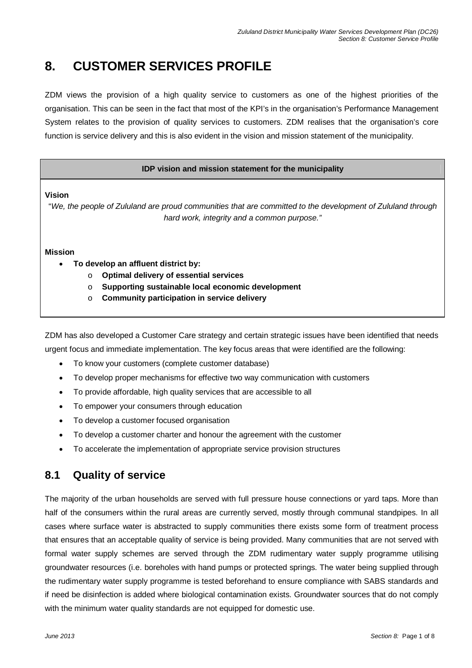# **8. CUSTOMER SERVICES PROFILE**

ZDM views the provision of a high quality service to customers as one of the highest priorities of the organisation. This can be seen in the fact that most of the KPI's in the organisation's Performance Management System relates to the provision of quality services to customers. ZDM realises that the organisation's core function is service delivery and this is also evident in the vision and mission statement of the municipality.

### **IDP vision and mission statement for the municipality**

**Vision** 

"We, the people of Zululand are proud communities that are committed to the development of Zululand through hard work, integrity and a common purpose."

#### **Mission**

- **To develop an affluent district by:** 
	- o **Optimal delivery of essential services**
	- o **Supporting sustainable local economic development**
	- o **Community participation in service delivery**

ZDM has also developed a Customer Care strategy and certain strategic issues have been identified that needs urgent focus and immediate implementation. The key focus areas that were identified are the following:

- To know your customers (complete customer database)
- To develop proper mechanisms for effective two way communication with customers
- To provide affordable, high quality services that are accessible to all
- To empower your consumers through education
- To develop a customer focused organisation
- To develop a customer charter and honour the agreement with the customer
- To accelerate the implementation of appropriate service provision structures

# **8.1 Quality of service**

The majority of the urban households are served with full pressure house connections or yard taps. More than half of the consumers within the rural areas are currently served, mostly through communal standpipes. In all cases where surface water is abstracted to supply communities there exists some form of treatment process that ensures that an acceptable quality of service is being provided. Many communities that are not served with formal water supply schemes are served through the ZDM rudimentary water supply programme utilising groundwater resources (i.e. boreholes with hand pumps or protected springs. The water being supplied through the rudimentary water supply programme is tested beforehand to ensure compliance with SABS standards and if need be disinfection is added where biological contamination exists. Groundwater sources that do not comply with the minimum water quality standards are not equipped for domestic use.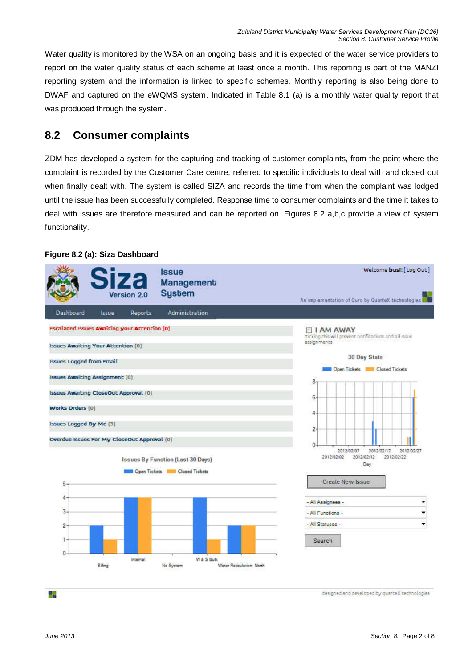Water quality is monitored by the WSA on an ongoing basis and it is expected of the water service providers to report on the water quality status of each scheme at least once a month. This reporting is part of the MANZI reporting system and the information is linked to specific schemes. Monthly reporting is also being done to DWAF and captured on the eWQMS system. Indicated in Table 8.1 (a) is a monthly water quality report that was produced through the system.

# **8.2 Consumer complaints**

ZDM has developed a system for the capturing and tracking of customer complaints, from the point where the complaint is recorded by the Customer Care centre, referred to specific individuals to deal with and closed out when finally dealt with. The system is called SIZA and records the time from when the complaint was lodged until the issue has been successfully completed. Response time to consumer complaints and the time it takes to deal with issues are therefore measured and can be reported on. Figures 8.2 a,b,c provide a view of system functionality.

## **Figure 8.2 (a): Siza Dashboard**



designed and developed by quarteX technologies

驆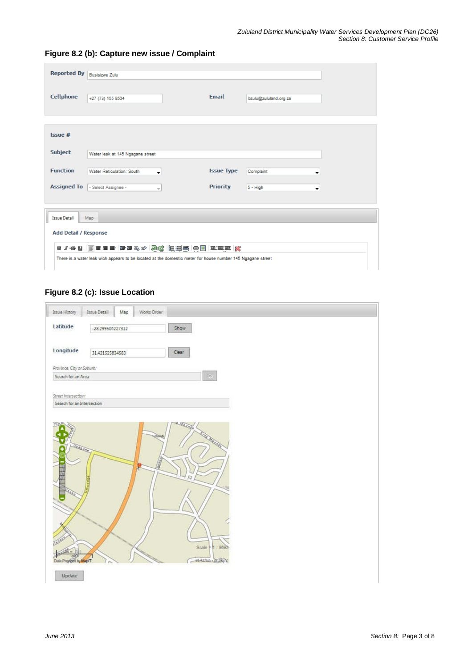| Reported By Busisizwe Zulu   |                                                                                                            |  |                   |                       |  |  |  |  |  |  |  |  |
|------------------------------|------------------------------------------------------------------------------------------------------------|--|-------------------|-----------------------|--|--|--|--|--|--|--|--|
| Cellphone                    | +27 (73) 155 8534                                                                                          |  | <b>Email</b>      | bzulu@zululand.org.za |  |  |  |  |  |  |  |  |
| Issue #                      |                                                                                                            |  |                   |                       |  |  |  |  |  |  |  |  |
| <b>Subject</b>               | Water leak at 145 Ngagane street                                                                           |  |                   |                       |  |  |  |  |  |  |  |  |
| <b>Function</b>              | <b>Water Reticulation: South</b><br>$\cdot$                                                                |  | <b>Issue Type</b> | Complaint<br>▼        |  |  |  |  |  |  |  |  |
|                              | Assigned To - Select Assignee -<br>$\overline{\phantom{m}}$                                                |  | <b>Priority</b>   | $5 - High$<br>▼       |  |  |  |  |  |  |  |  |
| <b>Issue Detail</b>          | Map                                                                                                        |  |                   |                       |  |  |  |  |  |  |  |  |
| <b>Add Detail / Response</b> |                                                                                                            |  |                   |                       |  |  |  |  |  |  |  |  |
|                              | There is a water leak wich appears to be located at the domestic meter for house number 145 Ngagane street |  |                   |                       |  |  |  |  |  |  |  |  |

# **Figure 8.2 (b): Capture new issue / Complaint**

# **Figure 8.2 (c): Issue Location**

| Works Order<br><b>Issue Detail</b><br>Мар<br>Show<br>-28.299504227312<br>Longitude<br>Clear<br>31.421525834583<br>Province City or Suburb:<br>$\mathbb{G}_2$<br>Search for an Area<br>Street Intersection:<br>Search for an Intersection<br>UTONE!<br><b>THE MEADER</b><br>Vaszano /<br><b>Contract Contract Contract</b><br>6<br>$-101$<br>Scale + 1 8692<br>Data Provided by MapT<br>31-42762 - 28.29672 |                      |  |  |  |  |
|------------------------------------------------------------------------------------------------------------------------------------------------------------------------------------------------------------------------------------------------------------------------------------------------------------------------------------------------------------------------------------------------------------|----------------------|--|--|--|--|
|                                                                                                                                                                                                                                                                                                                                                                                                            | <b>Issue History</b> |  |  |  |  |
|                                                                                                                                                                                                                                                                                                                                                                                                            | Latitude             |  |  |  |  |
|                                                                                                                                                                                                                                                                                                                                                                                                            |                      |  |  |  |  |
|                                                                                                                                                                                                                                                                                                                                                                                                            |                      |  |  |  |  |
|                                                                                                                                                                                                                                                                                                                                                                                                            |                      |  |  |  |  |
|                                                                                                                                                                                                                                                                                                                                                                                                            |                      |  |  |  |  |
|                                                                                                                                                                                                                                                                                                                                                                                                            |                      |  |  |  |  |
|                                                                                                                                                                                                                                                                                                                                                                                                            |                      |  |  |  |  |
|                                                                                                                                                                                                                                                                                                                                                                                                            |                      |  |  |  |  |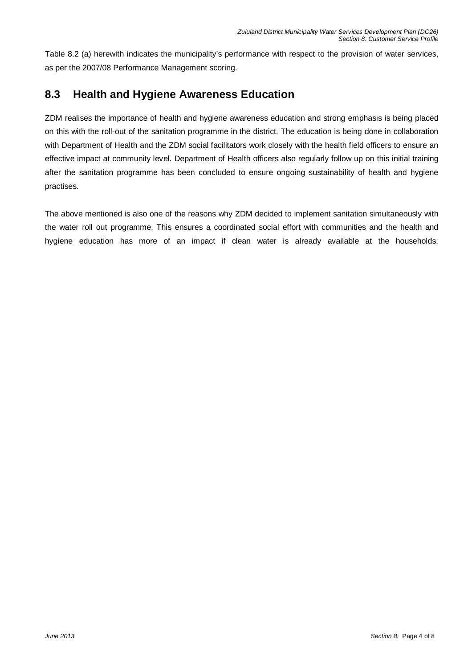Table 8.2 (a) herewith indicates the municipality's performance with respect to the provision of water services, as per the 2007/08 Performance Management scoring.

# **8.3 Health and Hygiene Awareness Education**

ZDM realises the importance of health and hygiene awareness education and strong emphasis is being placed on this with the roll-out of the sanitation programme in the district. The education is being done in collaboration with Department of Health and the ZDM social facilitators work closely with the health field officers to ensure an effective impact at community level. Department of Health officers also regularly follow up on this initial training after the sanitation programme has been concluded to ensure ongoing sustainability of health and hygiene practises.

The above mentioned is also one of the reasons why ZDM decided to implement sanitation simultaneously with the water roll out programme. This ensures a coordinated social effort with communities and the health and hygiene education has more of an impact if clean water is already available at the households.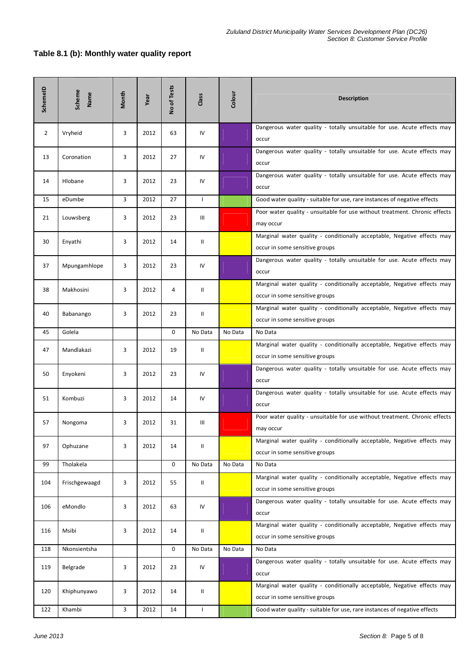### **Table 8.1 (b): Monthly water quality report**

| SchemeID       | Scheme<br>Name | Month | Year | No of Tests | Class        | Colour  | <b>Description</b>                                                                                        |
|----------------|----------------|-------|------|-------------|--------------|---------|-----------------------------------------------------------------------------------------------------------|
| $\overline{2}$ | Vryheid        | 3     | 2012 | 63          | IV           |         | Dangerous water quality - totally unsuitable for use. Acute effects may<br>occur                          |
| 13             | Coronation     | 3     | 2012 | 27          | IV           |         | Dangerous water quality - totally unsuitable for use. Acute effects may<br>occur                          |
| 14             | Hlobane        | 3     | 2012 | 23          | IV           |         | Dangerous water quality - totally unsuitable for use. Acute effects may<br>occur                          |
| 15             | eDumbe         | 3     | 2012 | 27          | $\mathbf{I}$ |         | Good water quality - suitable for use, rare instances of negative effects                                 |
| 21             | Louwsberg      | 3     | 2012 | 23          | Ш            |         | Poor water quality - unsuitable for use without treatment. Chronic effects<br>may occur                   |
| 30             | Enyathi        | 3     | 2012 | 14          | Ш            |         | Marginal water quality - conditionally acceptable, Negative effects may<br>occur in some sensitive groups |
| 37             | Mpungamhlope   | 3     | 2012 | 23          | IV           |         | Dangerous water quality - totally unsuitable for use. Acute effects may<br>occur                          |
| 38             | Makhosini      | 3     | 2012 | 4           | $\mathsf{I}$ |         | Marginal water quality - conditionally acceptable, Negative effects may<br>occur in some sensitive groups |
| 40             | Babanango      | 3     | 2012 | 23          | Ш            |         | Marginal water quality - conditionally acceptable, Negative effects may<br>occur in some sensitive groups |
| 45             | Golela         |       |      | 0           | No Data      | No Data | No Data                                                                                                   |
| 47             | Mandlakazi     | 3     | 2012 | 19          | Ш            |         | Marginal water quality - conditionally acceptable, Negative effects may<br>occur in some sensitive groups |
| 50             | Enyokeni       | 3     | 2012 | 23          | IV           |         | Dangerous water quality - totally unsuitable for use. Acute effects may<br>occur                          |
| 51             | Kombuzi        | 3     | 2012 | 14          | IV           |         | Dangerous water quality - totally unsuitable for use. Acute effects may<br>occur                          |
| 57             | Nongoma        | 3     | 2012 | 31          | Ш            |         | Poor water quality - unsuitable for use without treatment. Chronic effects<br>may occur                   |
| 97             | Ophuzane       | 3     | 2012 | 14          | Ш            |         | Marginal water quality - conditionally acceptable, Negative effects may<br>occur in some sensitive groups |
| 99             | Tholakela      |       |      | 0           | No Data      | No Data | No Data                                                                                                   |
| 104            | Frischgewaagd  | 3     | 2012 | 55          | Ш            |         | Marginal water quality - conditionally acceptable, Negative effects may<br>occur in some sensitive groups |
| 106            | eMondlo        | 3     | 2012 | 63          | IV           |         | Dangerous water quality - totally unsuitable for use. Acute effects may<br>occur                          |
| 116            | Msibi          | 3     | 2012 | 14          | Ш            |         | Marginal water quality - conditionally acceptable, Negative effects may<br>occur in some sensitive groups |
| 118            | Nkonsientsha   |       |      | 0           | No Data      | No Data | No Data                                                                                                   |
| 119            | Belgrade       | 3     | 2012 | 23          | IV           |         | Dangerous water quality - totally unsuitable for use. Acute effects may<br>occur                          |
| 120            | Khiphunyawo    | 3     | 2012 | 14          | Ш            |         | Marginal water quality - conditionally acceptable, Negative effects may<br>occur in some sensitive groups |
| 122            | Khambi         | 3     | 2012 | 14          | $\mathsf{I}$ |         | Good water quality - suitable for use, rare instances of negative effects                                 |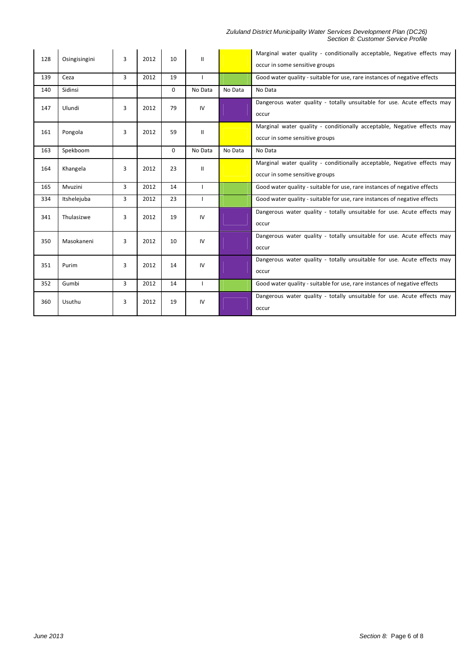#### Zululand District Municipality Water Services Development Plan (DC26) Section 8: Customer Service Profile

| 128 | Osingisingini | 3              | 2012 | 10       | $\mathbf{I}$ |         | Marginal water quality - conditionally acceptable, Negative effects may<br>occur in some sensitive groups |
|-----|---------------|----------------|------|----------|--------------|---------|-----------------------------------------------------------------------------------------------------------|
| 139 | Ceza          | 3              | 2012 | 19       |              |         | Good water quality - suitable for use, rare instances of negative effects                                 |
| 140 | Sidinsi       |                |      | $\Omega$ | No Data      | No Data | No Data                                                                                                   |
| 147 | Ulundi        | 3              | 2012 | 79       | IV           |         | Dangerous water quality - totally unsuitable for use. Acute effects may<br>occur                          |
| 161 | Pongola       | 3              | 2012 | 59       | $\mathbf{H}$ |         | Marginal water quality - conditionally acceptable, Negative effects may<br>occur in some sensitive groups |
| 163 | Spekboom      |                |      | $\Omega$ | No Data      | No Data | No Data                                                                                                   |
| 164 | Khangela      | 3              | 2012 | 23       | $\mathbf{H}$ |         | Marginal water quality - conditionally acceptable, Negative effects may<br>occur in some sensitive groups |
| 165 | Mvuzini       | $\overline{3}$ | 2012 | 14       |              |         | Good water quality - suitable for use, rare instances of negative effects                                 |
| 334 | Itshelejuba   | 3              | 2012 | 23       |              |         | Good water quality - suitable for use, rare instances of negative effects                                 |
| 341 | Thulasizwe    | 3              | 2012 | 19       | IV           |         | Dangerous water quality - totally unsuitable for use. Acute effects may<br>occur                          |
| 350 | Masokaneni    | 3              | 2012 | 10       | IV           |         | Dangerous water quality - totally unsuitable for use. Acute effects may<br>occur                          |
| 351 | Purim         | 3              | 2012 | 14       | IV           |         | Dangerous water quality - totally unsuitable for use. Acute effects may<br>occur                          |
| 352 | Gumbi         | 3              | 2012 | 14       |              |         | Good water quality - suitable for use, rare instances of negative effects                                 |
| 360 | Usuthu        | 3              | 2012 | 19       | IV           |         | Dangerous water quality - totally unsuitable for use. Acute effects may<br>occur                          |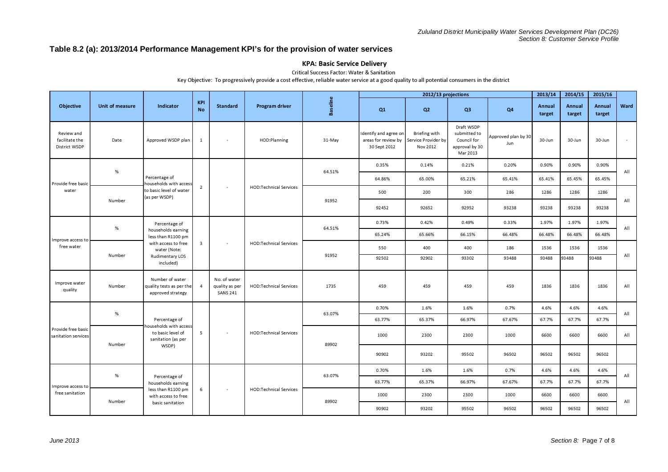### **Table 8.2 (a): 2013/2014 Performance Management KPI's for the provision of water services**

#### KPA: Basic Service Delivery

Critical Success Factor: Water & Sanitation

Key Objective: To progressively provide a cost effective, reliable water service at a good quality to all potential consumers in the district

|                                               |                 |                                                                  |                         |                                                   |                               |                 |                                                              | 2012/13 projections                              |                                                                         |                            | 2013/14          | 2014/15          | 2015/16          |      |
|-----------------------------------------------|-----------------|------------------------------------------------------------------|-------------------------|---------------------------------------------------|-------------------------------|-----------------|--------------------------------------------------------------|--------------------------------------------------|-------------------------------------------------------------------------|----------------------------|------------------|------------------|------------------|------|
| <b>Objective</b>                              | Unit of measure | Indicator                                                        | <b>KPI</b><br><b>No</b> | <b>Standard</b>                                   | <b>Program driver</b>         | <b>Baseline</b> | Q <sub>1</sub>                                               | Q2                                               | Q3                                                                      | Q4                         | Annual<br>target | Annual<br>target | Annual<br>target | Ward |
| Review and<br>facilitate the<br>District WSDP | Date            | Approved WSDP plan                                               | 1                       | $\overline{\phantom{a}}$                          | HOD:Planning                  | 31-May          | Identify and agree on<br>areas for review by<br>30 Sept 2012 | Briefing with<br>Service Provider by<br>Nov 2012 | Draft WSDP<br>submitted to<br>Council for<br>approval by 30<br>Mar 2013 | Approved plan by 30<br>Jun | 30-Jun           | 30-Jun           | 30-Jun           |      |
|                                               | %               |                                                                  |                         |                                                   |                               | 64.51%          | 0.35%                                                        | 0.14%                                            | 0.21%                                                                   | 0.20%                      | 0.90%            | 0.90%            | 0.90%            | All  |
| Provide free basic                            |                 | Percentage of<br>ouseholds with access                           |                         |                                                   |                               |                 | 64.86%                                                       | 65.00%                                           | 65.21%                                                                  | 65.41%                     | 65.41%           | 65.45%           | 65.45%           |      |
| water                                         |                 | to basic level of water<br>(as per WSDP)                         | $\overline{2}$          | $\sim$                                            | <b>HOD:Technical Services</b> |                 | 500                                                          | 200                                              | 300                                                                     | 286                        | 1286             | 1286             | 1286             |      |
|                                               | Number          |                                                                  |                         |                                                   |                               | 91952           | 92452                                                        | 92652                                            | 92952                                                                   | 93238                      | 93238            | 93238            | 93238            | All  |
| Improve access to<br>free water               | $\%$            | Percentage of                                                    |                         | $\overline{\phantom{a}}$                          | <b>HOD:Technical Services</b> | 64.51%          | 0.73%                                                        | 0.42%                                            | 0.49%                                                                   | 0.33%                      | 1.97%            | 1.97%            | 1.97%            | All  |
|                                               |                 | households earning<br>less than R1100 pm                         |                         |                                                   |                               |                 | 65.24%                                                       | 65.66%                                           | 66.15%                                                                  | 66.48%                     | 66.48%           | 66.48%           | 66.48%           |      |
|                                               | Number          | with access to free<br>water (Note:                              | $\overline{\mathbf{3}}$ |                                                   |                               |                 | 550                                                          | 400                                              | 400                                                                     | 186                        | 1536             | 1536             | 1536             |      |
|                                               |                 | Rudimentary LOS<br>included)                                     |                         |                                                   |                               | 91952           | 92502                                                        | 92902                                            | 93302                                                                   | 93488                      | 93488            | 93488            | 93488            | All  |
| Improve water<br>quality                      | Number          | Number of water<br>quality tests as per the<br>approved strategy | $\overline{4}$          | No. of water<br>quality as per<br><b>SANS 241</b> | HOD:Technical Services        | 1735            | 459                                                          | 459                                              | 459                                                                     | 459                        | 1836             | 1836             | 1836             | All  |
|                                               | %               |                                                                  |                         |                                                   |                               | 63.07%          | 0.70%                                                        | 1.6%                                             | 1.6%                                                                    | 0.7%                       | 4.6%             | 4.6%             | 4.6%             | All  |
|                                               |                 | Percentage of<br>households with access                          |                         |                                                   |                               |                 | 63.77%                                                       | 65.37%                                           | 66.97%                                                                  | 67.67%                     | 67.7%            | 67.7%            | 67.7%            |      |
| Provide free basid<br>sanitation services     | Number          | to basic level of<br>sanitation (as per                          | 5                       | $\overline{\phantom{a}}$                          | <b>HOD:Technical Services</b> | 89902           | 1000                                                         | 2300                                             | 2300                                                                    | 1000                       | 6600             | 6600             | 6600             | All  |
|                                               |                 | WSDP)                                                            |                         |                                                   |                               |                 | 90902                                                        | 93202                                            | 95502                                                                   | 96502                      | 96502            | 96502            | 96502            |      |
| Improve access to                             | %               |                                                                  |                         |                                                   |                               | 63.07%          | 0.70%                                                        | 1.6%                                             | 1.6%                                                                    | 0.7%                       | 4.6%             | 4.6%             | 4.6%             |      |
|                                               |                 | Percentage of<br>households earning                              |                         |                                                   |                               |                 | 63.77%                                                       | 65.37%                                           | 66.97%                                                                  | 67.67%                     | 67.7%            | 67.7%            | 67.7%            | All  |
| free sanitation                               |                 | less than R1100 pm<br>with access to free                        | 6                       | $\blacksquare$                                    | <b>HOD:Technical Services</b> |                 | 1000                                                         | 2300                                             | 2300                                                                    | 1000                       | 6600             | 6600             | 6600             | All  |
|                                               | Number          | basic sanitation                                                 |                         |                                                   |                               | 89902           | 90902                                                        | 93202                                            | 95502                                                                   | 96502                      | 96502            | 96502            | 96502            |      |